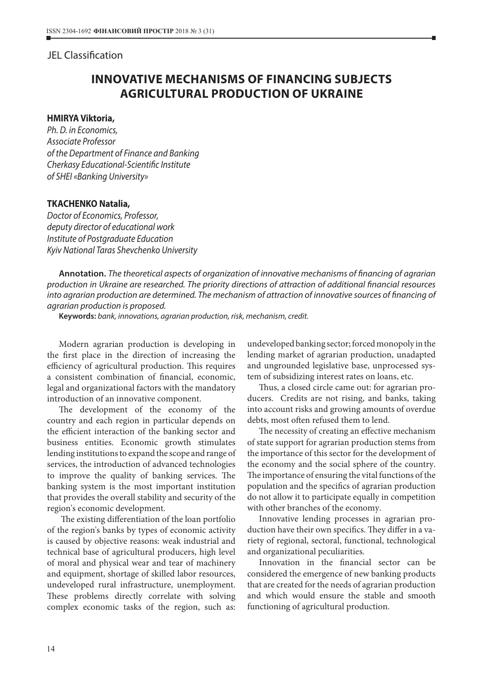## JEL Сlassification

# **INNOVATIVE MECHANISMS OF FINANCING SUBJECTS AGRICULTURAL PRODUCTION OF UKRAINE**

#### **HMIRYA Viktoria,**

*Ph. D. in Economics, Associate Professor of the Department of Finance and Banking Cherkasy Educational-Scientific Institute of SHEI «Banking University»*

#### **TKACHENKO Natalia,**

*Doctor of Economics, Professor, deputy director of educational work Institute of Postgraduate Education Kyiv National Taras Shevchenko University*

**Annotation.** *The theoretical aspects of organization of innovative mechanisms of financing of agrarian production in Ukraine are researched. The priority directions of attraction of additional financial resources into agrarian production are determined. The mechanism of attraction of innovative sources of financing of agrarian production is proposed.*

**Keywords:** *bank, innovations, agrarian production, risk, mechanism, credit.*

Modern agrarian production is developing in the first place in the direction of increasing the efficiency of agricultural production. This requires a consistent combination of financial, economic, legal and organizational factors with the mandatory introduction of an innovative component.

The development of the economy of the country and each region in particular depends on the efficient interaction of the banking sector and business entities. Economic growth stimulates lending institutions to expand the scope and range of services, the introduction of advanced technologies to improve the quality of banking services. The banking system is the most important institution that provides the overall stability and security of the region's economic development.

 The existing differentiation of the loan portfolio of the region's banks by types of economic activity is caused by objective reasons: weak industrial and technical base of agricultural producers, high level of moral and physical wear and tear of machinery and equipment, shortage of skilled labor resources, undeveloped rural infrastructure, unemployment. These problems directly correlate with solving complex economic tasks of the region, such as:

undeveloped banking sector; forced monopoly in the lending market of agrarian production, unadapted and ungrounded legislative base, unprocessed system of subsidizing interest rates on loans, etc.

Thus, a closed circle came out: for agrarian producers. Credits are not rising, and banks, taking into account risks and growing amounts of overdue debts, most often refused them to lend.

The necessity of creating an effective mechanism of state support for agrarian production stems from the importance of this sector for the development of the economy and the social sphere of the country. The importance of ensuring the vital functions of the population and the specifics of agrarian production do not allow it to participate equally in competition with other branches of the economy.

Innovative lending processes in agrarian production have their own specifics. They differ in a variety of regional, sectoral, functional, technological and organizational peculiarities.

Innovation in the financial sector can be considered the emergence of new banking products that are created for the needs of agrarian production and which would ensure the stable and smooth functioning of agricultural production.